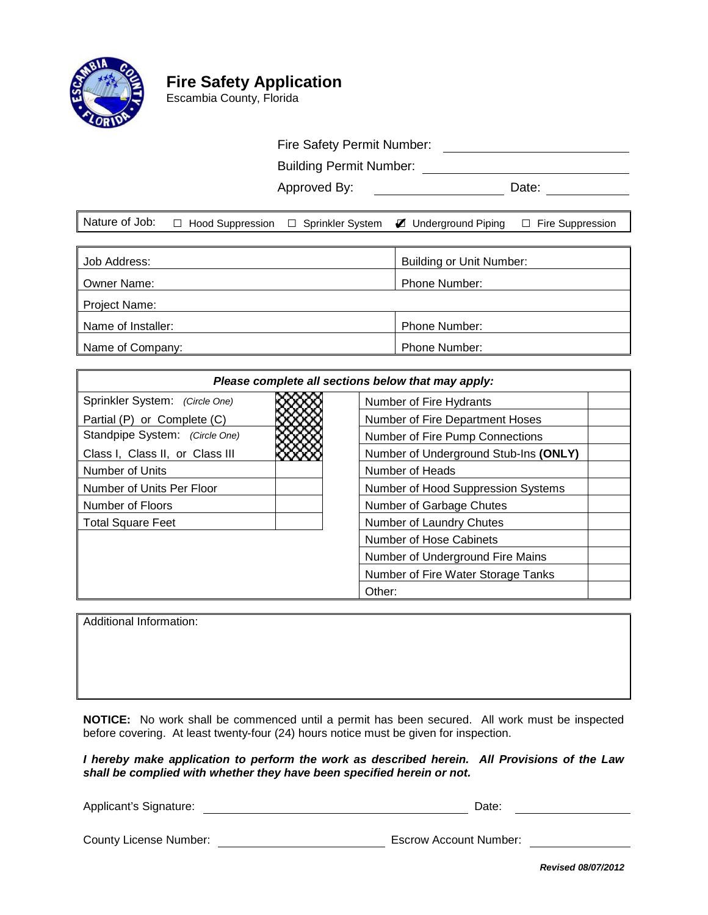

# **Fire Safety Application**

Escambia County, Florida

## Fire Safety Permit Number:

Building Permit Number:

Approved By: Date:

|  | Nature of Job: $\Box$ Hood Suppression $\Box$ Sprinkler System $\blacktriangledown$ Underground Piping $\Box$ Fire Suppression |  |
|--|--------------------------------------------------------------------------------------------------------------------------------|--|
|  |                                                                                                                                |  |

| Job Address:       | <b>Building or Unit Number:</b> |  |  |  |
|--------------------|---------------------------------|--|--|--|
| Owner Name:        | Phone Number:                   |  |  |  |
| Project Name:      |                                 |  |  |  |
| Name of Installer: | <b>Phone Number:</b>            |  |  |  |
| Name of Company:   | <b>Phone Number:</b>            |  |  |  |

| Please complete all sections below that may apply: |                                       |  |  |  |
|----------------------------------------------------|---------------------------------------|--|--|--|
| Sprinkler System: (Circle One)                     | Number of Fire Hydrants               |  |  |  |
| Partial (P) or Complete (C)                        | Number of Fire Department Hoses       |  |  |  |
| Standpipe System: (Circle One)                     | Number of Fire Pump Connections       |  |  |  |
| Class I, Class II, or Class III                    | Number of Underground Stub-Ins (ONLY) |  |  |  |
| Number of Units                                    | Number of Heads                       |  |  |  |
| Number of Units Per Floor                          | Number of Hood Suppression Systems    |  |  |  |
| Number of Floors                                   | Number of Garbage Chutes              |  |  |  |
| <b>Total Square Feet</b>                           | Number of Laundry Chutes              |  |  |  |
|                                                    | Number of Hose Cabinets               |  |  |  |
|                                                    | Number of Underground Fire Mains      |  |  |  |
|                                                    | Number of Fire Water Storage Tanks    |  |  |  |
|                                                    | Other:                                |  |  |  |

Additional Information:

**NOTICE:** No work shall be commenced until a permit has been secured. All work must be inspected before covering. At least twenty-four (24) hours notice must be given for inspection.

*I hereby make application to perform the work as described herein. All Provisions of the Law shall be complied with whether they have been specified herein or not.*

Applicant's Signature: **Date:** Date: Date: Date: Date: Date: Date: Date: Date: Date: Date: Date: Date: Date: Date: Date: Date: Date: Date: Date: Date: Date: Date: Date: Date: Date: Date: Date: Date: Date: Date: Date: Date:

County License Number: Escrow Account Number:

*Revised 08/07/2012*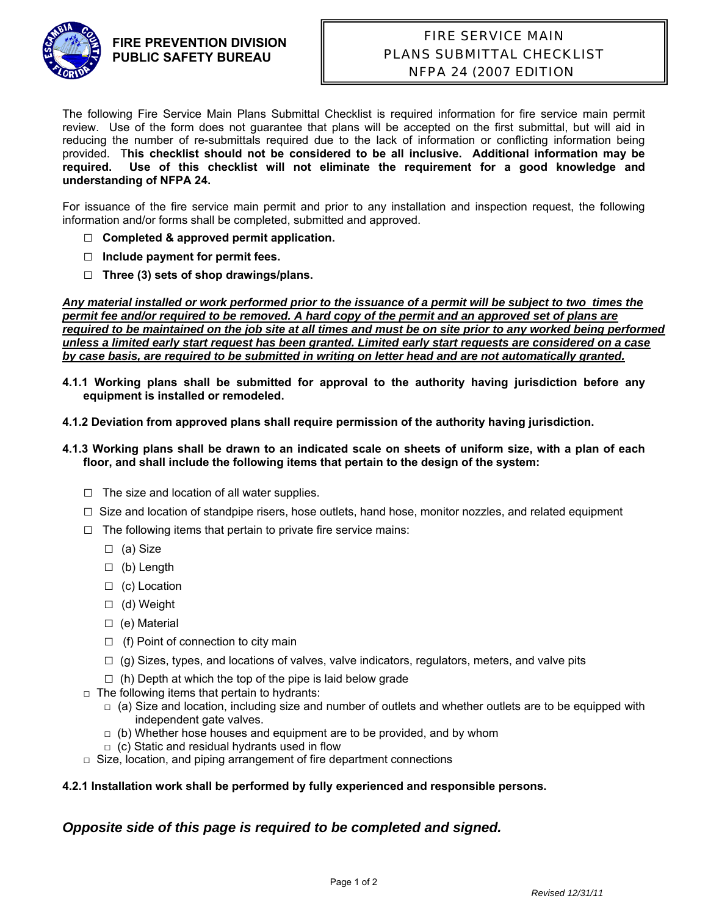

#### **FIRE PREVENTION DIVISION PUBLIC SAFETY BUREAU**

## FIRE SERVICE MAIN PLANS SUBMITTAL CHECKLIST NFPA 24 (2007 EDITION)

The following Fire Service Main Plans Submittal Checklist is required information for fire service main permit review. Use of the form does not guarantee that plans will be accepted on the first submittal, but will aid in reducing the number of re-submittals required due to the lack of information or conflicting information being provided. T**his checklist should not be considered to be all inclusive. Additional information may be required. Use of this checklist will not eliminate the requirement for a good knowledge and understanding of NFPA 24.**

For issuance of the fire service main permit and prior to any installation and inspection request, the following information and/or forms shall be completed, submitted and approved.

- □ **Completed & approved permit application.**
- **□ Include payment for permit fees.**
- **□ Three (3) sets of shop drawings/plans.**

*Any material installed or work performed prior to the issuance of a permit will be subject to two times the permit fee and/or required to be removed. A hard copy of the permit and an approved set of plans are*  required to be maintained on the job site at all times and must be on site prior to any worked being performed *unless a limited early start request has been granted. Limited early start requests are considered on a case by case basis, are required to be submitted in writing on letter head and are not automatically granted.* 

- **4.1.1 Working plans shall be submitted for approval to the authority having jurisdiction before any equipment is installed or remodeled.**
- **4.1.2 Deviation from approved plans shall require permission of the authority having jurisdiction.**
- **4.1.3 Working plans shall be drawn to an indicated scale on sheets of uniform size, with a plan of each floor, and shall include the following items that pertain to the design of the system:** 
	- $\Box$  The size and location of all water supplies.
	- $\Box$  Size and location of standpipe risers, hose outlets, hand hose, monitor nozzles, and related equipment
	- $\Box$  The following items that pertain to private fire service mains:
		- □ (a) Size
		- $\Box$  (b) Length
		- $\Box$  (c) Location
		- □ (d) Weight
		- □ (e) Material
		- $\Box$  (f) Point of connection to city main
		- $\Box$  (g) Sizes, types, and locations of valves, valve indicators, regulators, meters, and valve pits
		- $\Box$  (h) Depth at which the top of the pipe is laid below grade
	- $\Box$  The following items that pertain to hydrants:
		- $\Box$  (a) Size and location, including size and number of outlets and whether outlets are to be equipped with independent gate valves.
		- $\Box$  (b) Whether hose houses and equipment are to be provided, and by whom
		- $\Box$  (c) Static and residual hydrants used in flow
	- $\Box$  Size, location, and piping arrangement of fire department connections

#### **4.2.1 Installation work shall be performed by fully experienced and responsible persons.**

### *Opposite side of this page is required to be completed and signed.*